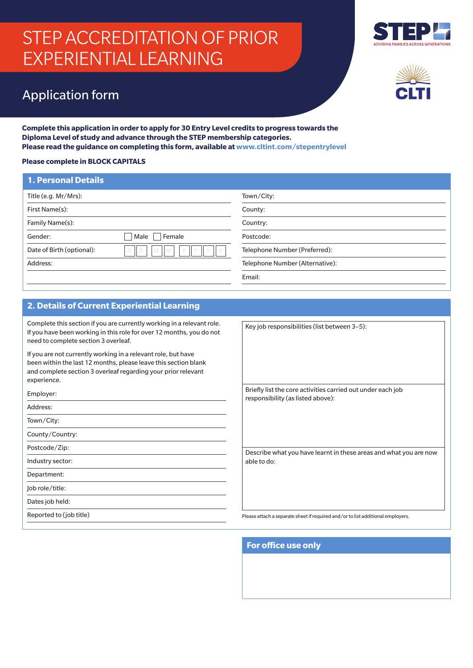# STEP ACCREDITATION OF PRIOR EXPERIENTIAL LEARNING



## Application form

**Complete this application in order to apply for 30 Entry Level credits to progress towards the Diploma Level of study and advance through the STEP membership categories. Please read the guidance on completing this form, available at www.cltint.com/stepentrylevel**

#### **Please complete in BLOCK CAPITALS**

| <b>1. Personal Details</b> |                |                                 |
|----------------------------|----------------|---------------------------------|
| Title (e.g. Mr/Mrs):       |                | Town/City:                      |
| First Name(s):             |                | County:                         |
| Family Name(s):            |                | Country:                        |
| Gender:                    | Male<br>Female | Postcode:                       |
| Date of Birth (optional):  | M              | Telephone Number (Preferred):   |
| Address:                   |                | Telephone Number (Alternative): |
|                            |                | Email:                          |

#### **2. Details of Current Experiential Learning**

Complete this section if you are currently working in a relevant role. If you have been working in this role for over 12 months, you do not need to complete section 3 overleaf.

If you are not currently working in a relevant role, but have been within the last 12 months, please leave this section blank and complete section 3 overleaf regarding your prior relevant experience.

Employer:

Address:

Town/City:

County/Country:

Postcode/Zip:

Industry sector:

Department:

Job role/title:

Dates job held:

Reported to (job title)

Key job responsibilities (list between 3–5):

Briefly list the core activities carried out under each job responsibility (as listed above):

able to do:

Describe what you have learnt in these areas and what you are now

Please attach a separate sheet if required and/or to list additional employers.

**For office use only**